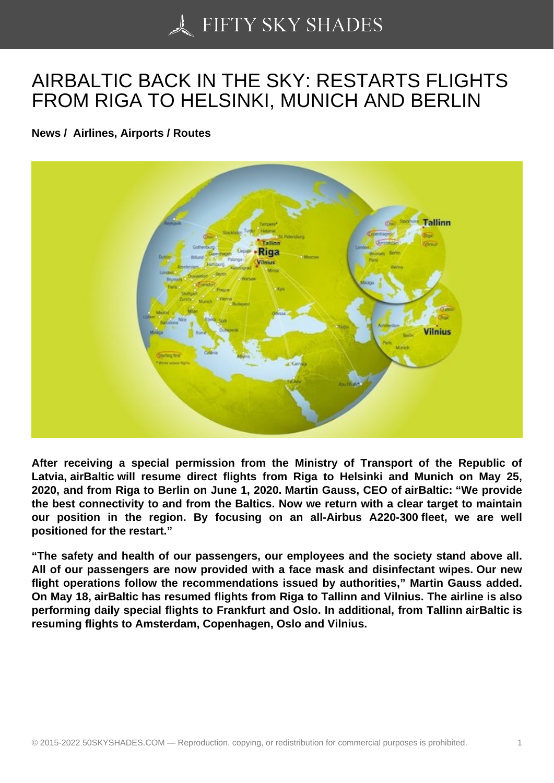## [AIRBALTIC BACK IN T](https://50skyshades.com)HE SKY: RESTARTS FLIGHTS FROM RIGA TO HELSINKI, MUNICH AND BERLIN

News / Airlines, Airports / Routes

After receiving a special permission from the Ministry of Transport of the Republic of Latvia, airBaltic will resume direct flights from Riga to Helsinki and Munich on May 25, 2020, and from Riga to Berlin on June 1, 2020. Martin Gauss, CEO of airBaltic: "We provide the best connectivity to and from the Baltics. Now we return with a clear target to maintain our position in the region. By focusing on an all-Airbus A220-300 fleet, we are well positioned for the restart."

"The safety and health of our passengers, our employees and the society stand above all. All of our passengers are now provided with a face mask and disinfectant wipes. Our new flight operations follow the recommendations issued by authorities," Martin Gauss added. On May 18, airBaltic has resumed flights from Riga to Tallinn and Vilnius. The airline is also performing daily special flights to Frankfurt and Oslo. In additional, from Tallinn airBaltic is resuming flights to Amsterdam, Copenhagen, Oslo and Vilnius.